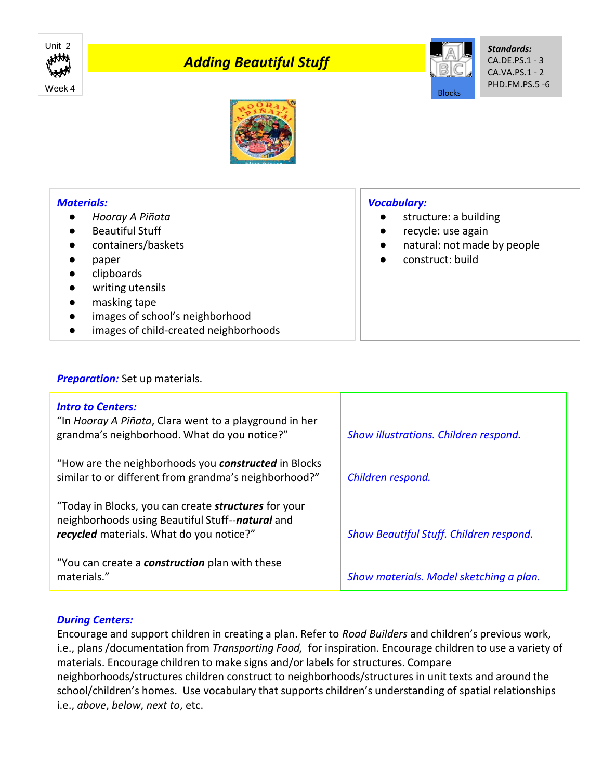

# *Adding Beautiful Stuff*



● structure: a building recycle: use again

construct: build

● natural: not made by people

*Vocabulary:*

*Standards:* CA.DE.PS.1 - 3 CA.VA.PS.1 - 2 PHD.FM.PS.5 -6



## *Materials:*

- *Hooray A Piñata*
- **Beautiful Stuff**
- containers/baskets
- paper
- clipboards
- writing utensils
- masking tape
- images of school's neighborhood
- images of child-created neighborhoods

#### **Preparation:** Set up materials.

| <b>Intro to Centers:</b><br>"In Hooray A Piñata, Clara went to a playground in her<br>grandma's neighborhood. What do you notice?"                          | Show illustrations. Children respond.   |
|-------------------------------------------------------------------------------------------------------------------------------------------------------------|-----------------------------------------|
| "How are the neighborhoods you <b>constructed</b> in Blocks<br>similar to or different from grandma's neighborhood?"                                        | Children respond.                       |
| "Today in Blocks, you can create <b>structures</b> for your<br>neighborhoods using Beautiful Stuff--natural and<br>recycled materials. What do you notice?" | Show Beautiful Stuff. Children respond. |
| "You can create a <b>construction</b> plan with these<br>materials."                                                                                        | Show materials. Model sketching a plan. |

## *During Centers:*

Encourage and support children in creating a plan. Refer to *Road Builders* and children's previous work, i.e., plans /documentation from *Transporting Food,* for inspiration. Encourage children to use a variety of materials. Encourage children to make signs and/or labels for structures. Compare neighborhoods/structures children construct to neighborhoods/structures in unit texts and around the school/children's homes. Use vocabulary that supports children's understanding of spatial relationships i.e., *above*, *below*, *next to*, etc.